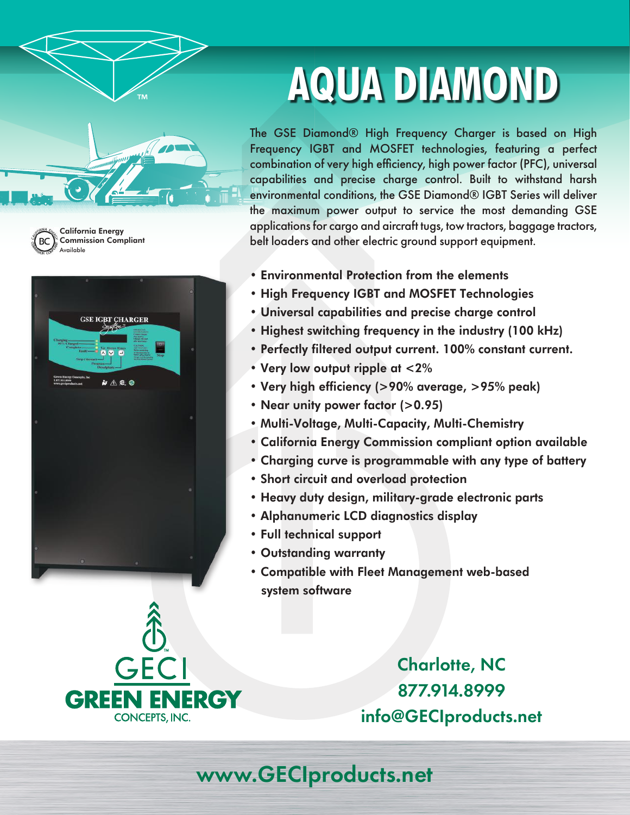



California Energy Commission Compliant Available



# **AQUA DIAMOND**

The GSE Diamond® High Frequency Charger is based on High Frequency IGBT and MOSFET technologies, featuring a perfect combination of very high efficiency, high power factor (PFC), universal capabilities and precise charge control. Built to withstand harsh environmental conditions, the GSE Diamond® IGBT Series will deliver the maximum power output to service the most demanding GSE applications for cargo and aircraft tugs, tow tractors, baggage tractors, belt loaders and other electric ground support equipment.

- Environmental Protection from the elements
- High Frequency IGBT and MOSFET Technologies
- Universal capabilities and precise charge control
- Highest switching frequency in the industry (100 kHz)
- Perfectly filtered output current. 100% constant current.
- Very low output ripple at <2%
- Very high efficiency (>90% average, >95% peak)
- Near unity power factor (>0.95)
- Multi-Voltage, Multi-Capacity, Multi-Chemistry
- California Energy Commission compliant option available
- Charging curve is programmable with any type of battery
- Short circuit and overload protection
- Heavy duty design, military-grade electronic parts
- Alphanumeric LCD diagnostics display
- Full technical support
- Outstanding warranty
- Compatible with Fleet Management web-based system software



Charlotte, NC 877.914.8999 info@GECIproducts.net

www.GECIproducts.net